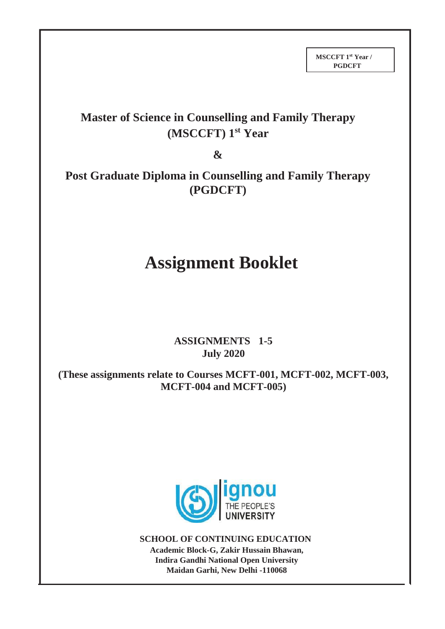## **Master of Science in Counselling and Family Therapy (MSCCFT) 1st Year**

**&**

**Post Graduate Diploma in Counselling and Family Therapy (PGDCFT)**

# **Assignment Booklet**

## **ASSIGNMENTS 1-5 July 2020**

**(These assignments relate to Courses MCFT-001, MCFT-002, MCFT-003, MCFT-004 and MCFT-005)**



**SCHOOL OF CONTINUING EDUCATION Academic Block-G, Zakir Hussain Bhawan, Indira Gandhi National Open University Maidan Garhi, New Delhi -110068**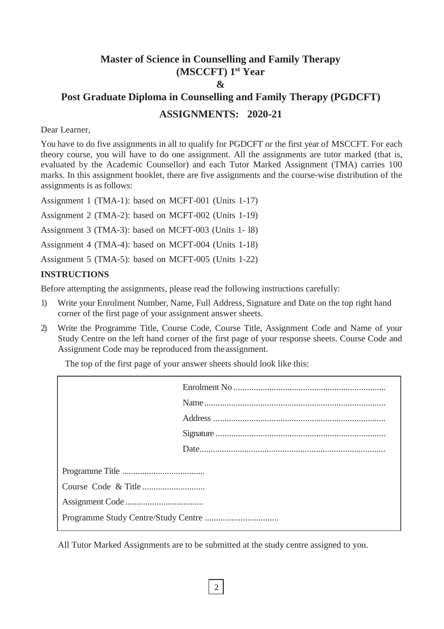## **Master of Science in Counselling and Family Therapy (MSCCFT) 1 st Year & Post Graduate Diploma in Counselling and Family Therapy (PGDCFT) ASSIGNMENTS: 2020-21**

#### Dear Learner,

You have to do five assignments in all to qualify for PGDCFT or the first year of MSCCFT. For each theory course, you will have to do one assignment. All the assignments are tutor marked (that is, evaluated by the Academic Counsellor) and each Tutor Marked Assignment (TMA) carries 100 marks. In this assignment booklet, there are five assignments and the course-wise distribution of the assignments is as follows:

Assignment 1 (TMA-1): based on MCFT-001 (Units 1-17)

Assignment 2 (TMA-2): based on MCFT-002 (Units 1-19)

Assignment 3 (TMA-3): based on MCFT-003 (Units 1- l8)

Assignment 4 (TMA-4): based on MCFT-004 (Units 1-18)

Assignment 5 (TMA-5): based on MCFT-005 (Units 1-22)

#### **INSTRUCTIONS**

Before attempting the assignments, please read the following instructions carefully:

- 1) Write your Enrolment Number, Name, Full Address, Signature and Date on the top right hand corner of the first page of your assignment answer sheets.
- 2) Write the Programme Title, Course Code, Course Title, Assignment Code and Name of your Study Centre on the left hand corner of the first page of your response sheets. Course Code and Assignment Code may be reproduced from theassignment.

The top of the first page of your answer sheets should look like this:

All Tutor Marked Assignments are to be submitted at the study centre assigned to you.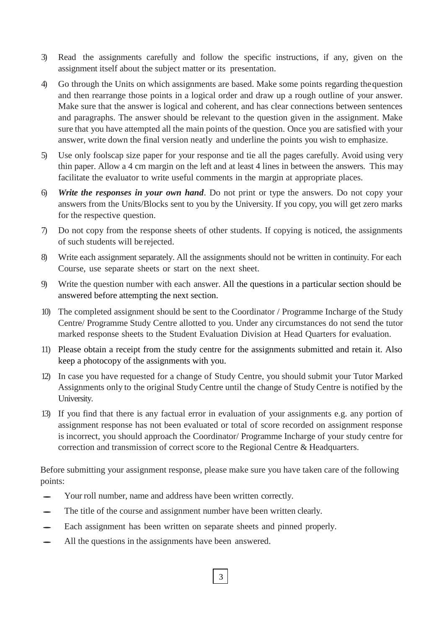- 3) Read the assignments carefully and follow the specific instructions, if any, given on the assignment itself about the subject matter or its presentation.
- 4) Go through the Units on which assignments are based. Make some points regarding thequestion and then rearrange those points in a logical order and draw up a rough outline of your answer. Make sure that the answer is logical and coherent, and has clear connections between sentences and paragraphs. The answer should be relevant to the question given in the assignment. Make sure that you have attempted all the main points of the question. Once you are satisfied with your answer, write down the final version neatly and underline the points you wish to emphasize.
- 5) Use only foolscap size paper for your response and tie all the pages carefully. Avoid using very thin paper. Allow a 4 cm margin on the left and at least 4 lines in between the answers. This may facilitate the evaluator to write useful comments in the margin at appropriate places.
- 6) *Write the responses in your own hand*. Do not print or type the answers. Do not copy your answers from the Units/Blocks sent to you by the University. If you copy, you will get zero marks for the respective question.
- 7) Do not copy from the response sheets of other students. If copying is noticed, the assignments of such students will be rejected.
- 8) Write each assignment separately. All the assignments should not be written in continuity. For each Course, use separate sheets or start on the next sheet.
- 9) Write the question number with each answer. All the questions in a particular section should be answered before attempting the next section.
- 10) The completed assignment should be sent to the Coordinator / Programme Incharge of the Study Centre/ Programme Study Centre allotted to you. Under any circumstances do not send the tutor marked response sheets to the Student Evaluation Division at Head Quarters for evaluation.
- 11) Please obtain a receipt from the study centre for the assignments submitted and retain it. Also keep a photocopy of the assignments with you.
- 12) In case you have requested for a change of Study Centre, you should submit your Tutor Marked Assignments only to the original StudyCentre until the change of Study Centre is notified by the University.
- 13) If you find that there is any factual error in evaluation of your assignments e.g. any portion of assignment response has not been evaluated or total of score recorded on assignment response is incorrect, you should approach the Coordinator/ Programme Incharge of your study centre for correction and transmission of correct score to the Regional Centre & Headquarters.

Before submitting your assignment response, please make sure you have taken care of the following points:

3

- Your roll number, name and address have been written correctly.
- The title of the course and assignment number have been written clearly.
- Each assignment has been written on separate sheets and pinned properly.
- All the questions in the assignments have been answered.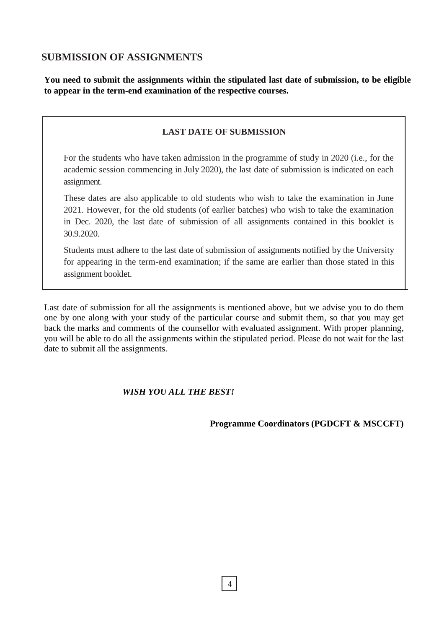## **SUBMISSION OF ASSIGNMENTS**

**You need to submit the assignments within the stipulated last date of submission, to be eligible to appear in the term-end examination of the respective courses.**

## **LAST DATE OF SUBMISSION**

For the students who have taken admission in the programme of study in 2020 (i.e., for the academic session commencing in July 2020), the last date of submission is indicated on each assignment.

These dates are also applicable to old students who wish to take the examination in June 2021. However, for the old students (of earlier batches) who wish to take the examination in Dec. 2020, the last date of submission of all assignments contained in this booklet is 30.9.2020.

Students must adhere to the last date of submission of assignments notified by the University for appearing in the term-end examination; if the same are earlier than those stated in this assignment booklet.

Last date of submission for all the assignments is mentioned above, but we advise you to do them one by one along with your study of the particular course and submit them, so that you may get back the marks and comments of the counsellor with evaluated assignment. With proper planning, you will be able to do all the assignments within the stipulated period. Please do not wait for the last date to submit all the assignments.

## *WISH YOU ALL THE BEST!*

**Programme Coordinators (PGDCFT & MSCCFT)**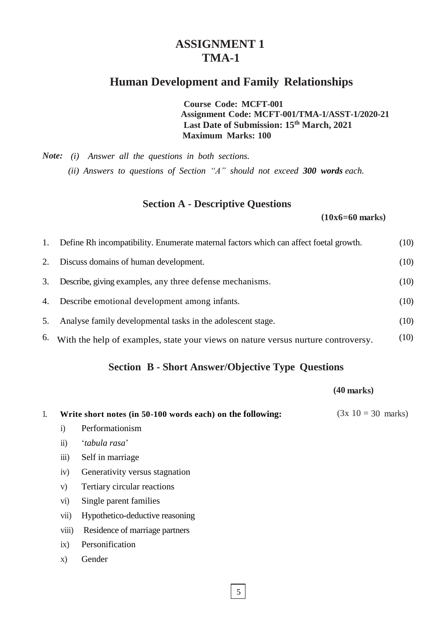## **ASSIGNMENT 1 TMA-1**

## **Human Development and Family Relationships**

**Course Code: MCFT-001 Assignment Code: MCFT-001/TMA-1/ASST-1/2020-21 Last Date of Submission: 15th March, 2021 Maximum Marks: 100**

*Note: (i) Answer all the questions in both sections. (ii) Answers to questions of Section "A" should not exceed 300 words each.*

## **Section A - Descriptive Questions**

 **(10x6=60 marks)**

| 1. | Define Rh incompatibility. Enumerate maternal factors which can affect foetal growth. | (10) |
|----|---------------------------------------------------------------------------------------|------|
| 2. | Discuss domains of human development.                                                 | (10) |
| 3. | Describe, giving examples, any three defense mechanisms.                              | (10) |
| 4. | Describe emotional development among infants.                                         | (10) |
| 5. | Analyse family developmental tasks in the adolescent stage.                           | (10) |
| 6. | With the help of examples, state your views on nature versus nurture controversy.     | (10) |

## **Section B - Short Answer/Objective Type Questions**

#### **(40 marks)**

|                    | Write short notes (in 50-100 words each) on the following:                                                  | $(3x 10 = 30$ marks) |
|--------------------|-------------------------------------------------------------------------------------------------------------|----------------------|
| $\bf{1)}$          | Performationism                                                                                             |                      |
| $\ddot{\text{1}}$  | 'tabula rasa'                                                                                               |                      |
| $\overline{111}$ ) | Self in marriage                                                                                            |                      |
| iv)                | Generativity versus stagnation                                                                              |                      |
| V)                 | Tertiary circular reactions                                                                                 |                      |
| $\rm{vi})$         | Single parent families                                                                                      |                      |
| vii)               | Hypothetico-deductive reasoning                                                                             |                      |
|                    | $\mathbf{D}$ and $\mathbf{D}$ and $\mathbf{L}$ and $\mathbf{L}$ are smaller and an analysis of $\mathbf{D}$ |                      |

viii) Residence of marriage partners

ix) Personification

x) Gender

 $5|$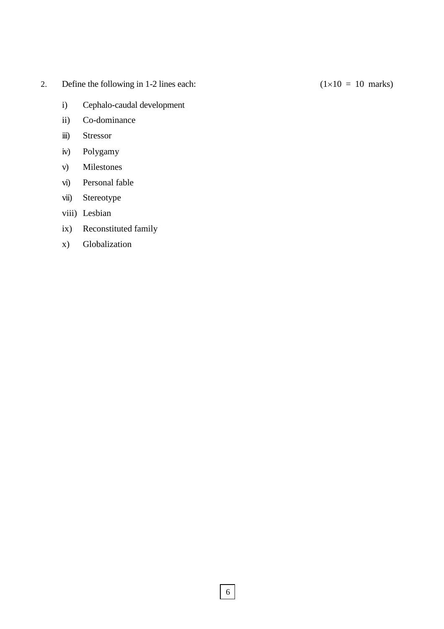- 2. Define the following in 1-2 lines each:  $(1 \times 10 = 10 \text{ marks})$ 
	- i) Cephalo-caudal development
	- ii) Co-dominance
	- iii) Stressor
	- iv) Polygamy
	- v) Milestones
	- vi) Personal fable
	- vii) Stereotype
	- viii) Lesbian
	- ix) Reconstituted family
	- x) Globalization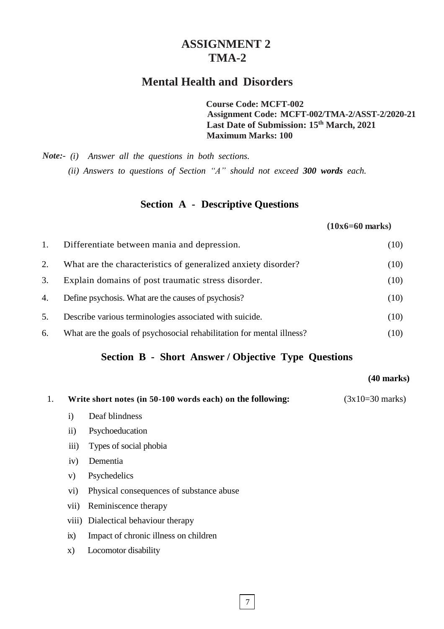## **ASSIGNMENT 2 TMA-2**

## **Mental Health and Disorders**

**Course Code: MCFT-002 Assignment Code: MCFT-002/TMA-2/ASST-2/2020-21 Last Date of Submission: 15th March, 2021 Maximum Marks: 100**

*Note:- (i) Answer all the questions in both sections.* 

*(ii) Answers to questions of Section "A" should not exceed 300 words each.*

## **Section A - Descriptive Questions**

#### **(10x6=60 marks)**

| 1. | Differentiate between mania and depression.                           | (10) |
|----|-----------------------------------------------------------------------|------|
| 2. | What are the characteristics of generalized anxiety disorder?         | (10) |
| 3. | Explain domains of post traumatic stress disorder.                    | (10) |
| 4. | Define psychosis. What are the causes of psychosis?                   | (10) |
| 5. | Describe various terminologies associated with suicide.               | (10) |
| 6. | What are the goals of psychosocial rehabilitation for mental illness? | (10) |

## **Section B - Short Answer / Objective Type Questions**

#### **(40 marks)**

| 1. |              | Write short notes (in 50-100 words each) on the following: | $(3x10=30 \text{ marks})$ |
|----|--------------|------------------------------------------------------------|---------------------------|
|    | $\mathbf{i}$ | Deaf blindness                                             |                           |
|    | $\rm ii)$    | Psychoeducation                                            |                           |
|    | iii)         | Types of social phobia                                     |                           |
|    | iv)          | Dementia                                                   |                           |
|    | V)           | Psychedelics                                               |                           |
|    | $\rm vi)$    | Physical consequences of substance abuse                   |                           |
|    | V(1)         | Reminiscence therapy                                       |                           |
|    |              | viii) Dialectical behaviour therapy                        |                           |
|    | ix)          | Impact of chronic illness on children                      |                           |
|    | $\mathbf{X}$ | Locomotor disability                                       |                           |
|    |              |                                                            |                           |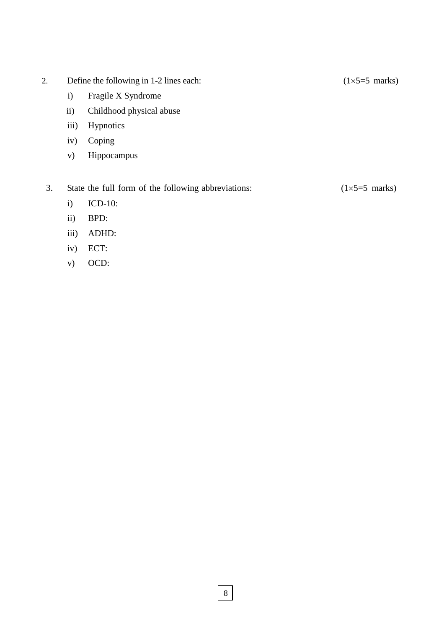- 2. Define the following in 1-2 lines each:  $(1\times5=5 \text{ marks})$ 
	- i) Fragile X Syndrome
	- ii) Childhood physical abuse
	- iii) Hypnotics
	- iv) Coping
	- v) Hippocampus

3. State the full form of the following abbreviations:  $(1\times5=5 \text{ marks})$ 

- i) ICD-10:
- ii) BPD:
- iii) ADHD:
- iv) ECT:
- v) OCD: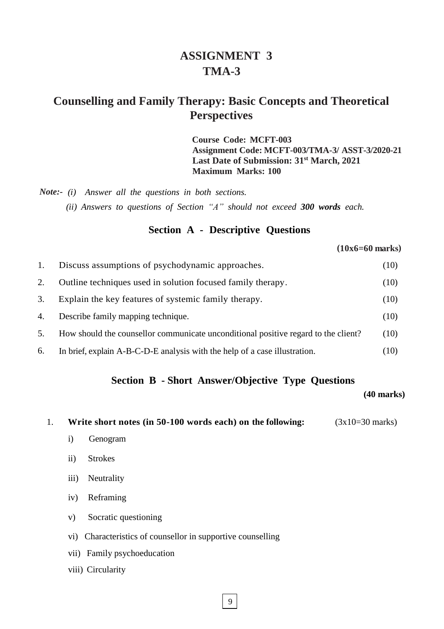## **ASSIGNMENT 3 TMA-3**

## **Counselling and Family Therapy: Basic Concepts and Theoretical Perspectives**

**Course Code: MCFT-003 Assignment Code: MCFT-003/TMA-3/ ASST-3/2020-21 Last Date of Submission: 31st March, 2021 Maximum Marks: 100**

*Note:- (i) Answer all the questions in both sections. (ii) Answers to questions of Section "A" should not exceed 300 words each.*

## **Section A - Descriptive Questions**

**(10x6=60 marks)**

|    | Discuss assumptions of psychodynamic approaches.                                   | (10) |
|----|------------------------------------------------------------------------------------|------|
| 2. | Outline techniques used in solution focused family therapy.                        | (10) |
| 3. | Explain the key features of systemic family therapy.                               | (10) |
| 4. | Describe family mapping technique.                                                 | (10) |
| 5. | How should the counsellor communicate unconditional positive regard to the client? | (10) |
| 6. | In brief, explain A-B-C-D-E analysis with the help of a case illustration.         | (10) |

#### **Section B - Short Answer/Objective Type Questions**

#### **(40 marks)**

1. **Write short notes (in 50-100 words each) on the following:** (3x10=30 marks)

- i) Genogram
- ii) Strokes
- iii) Neutrality
- iv) Reframing
- v) Socratic questioning
- vi) Characteristics of counsellor in supportive counselling
- vii) Family psychoeducation
- viii) Circularity

9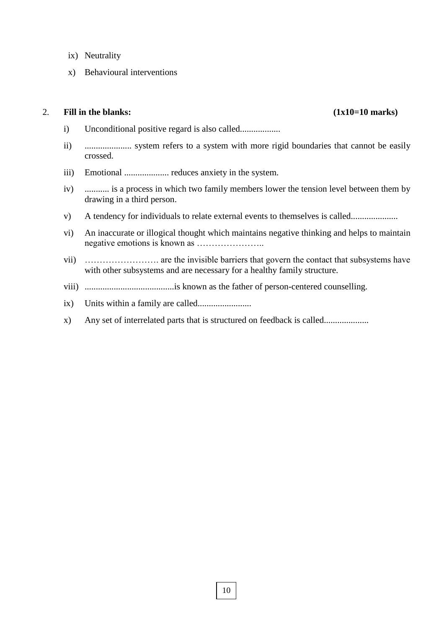- ix) Neutrality
- x) Behavioural interventions

#### 2. **Fill in the blanks: (1x10=10 marks)**

- i) Unconditional positive regard is also called..................
- ii) ..................... system refers to a system with more rigid boundaries that cannot be easily crossed.
- iii) Emotional .................... reduces anxiety in the system.
- iv) ........... is a process in which two family members lower the tension level between them by drawing in a third person.
- v) A tendency for individuals to relate external events to themselves is called.....................
- vi) An inaccurate or illogical thought which maintains negative thinking and helps to maintain negative emotions is known as …………………..
- vii) ……………………. are the invisible barriers that govern the contact that subsystems have with other subsystems and are necessary for a healthy family structure.
- viii) ........................................is known as the father of person-centered counselling.
- ix) Units within a family are called........................
- x) Any set of interrelated parts that is structured on feedback is called....................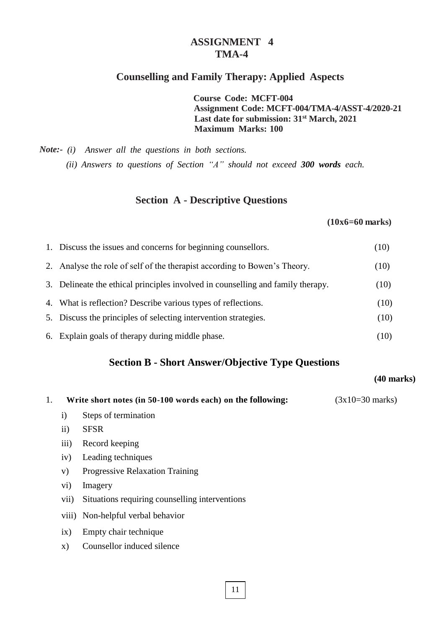## **ASSIGNMENT 4 TMA-4**

#### **Counselling and Family Therapy: Applied Aspects**

**Course Code: MCFT-004 Assignment Code: MCFT-004/TMA-4/ASST-4/2020-21 Last date for submission: 31st March, 2021 Maximum Marks: 100**

*Note:- (i) Answer all the questions in both sections. (ii) Answers to questions of Section "A" should not exceed 300 words each.*

#### **Section A - Descriptive Questions**

#### **(10x6=60 marks)**

| 1. Discuss the issues and concerns for beginning counsellors.                   | (10) |
|---------------------------------------------------------------------------------|------|
| 2. Analyse the role of self of the therapist according to Bowen's Theory.       | (10) |
| 3. Delineate the ethical principles involved in counselling and family therapy. | (10) |
| 4. What is reflection? Describe various types of reflections.                   | (10) |
| 5. Discuss the principles of selecting intervention strategies.                 | (10) |
|                                                                                 |      |

6. Explain goals of therapy during middle phase. (10)

## **Section B - Short Answer/Objective Type Questions**

#### **(40 marks)**

|  | Write short notes (in 50-100 words each) on the following: | $(3x10=30 \text{ marks})$ |
|--|------------------------------------------------------------|---------------------------|
|--|------------------------------------------------------------|---------------------------|

- i) Steps of termination
- ii) SFSR
- iii) Record keeping
- iv) Leading techniques
- v) Progressive Relaxation Training
- vi) Imagery
- vii) Situations requiring counselling interventions
- viii) Non-helpful verbal behavior
- ix) Empty chair technique
- x) Counsellor induced silence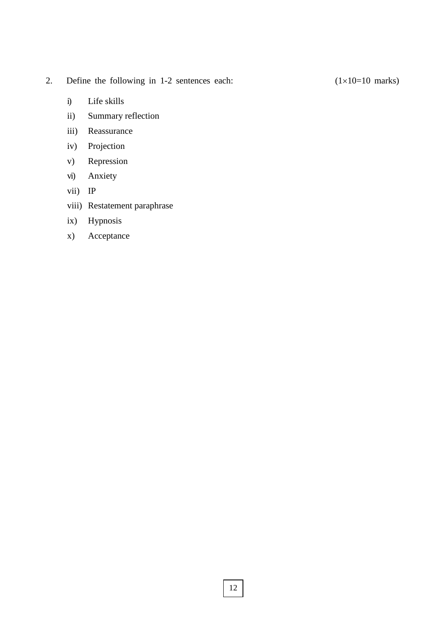## 2. Define the following in 1-2 sentences each:  $(1 \times 10=10 \text{ marks})$

- i) Life skills
- ii) Summary reflection
- iii) Reassurance
- iv) Projection
- v) Repression
- vi) Anxiety
- vii) IP
- viii) Restatement paraphrase
- ix) Hypnosis
- x) Acceptance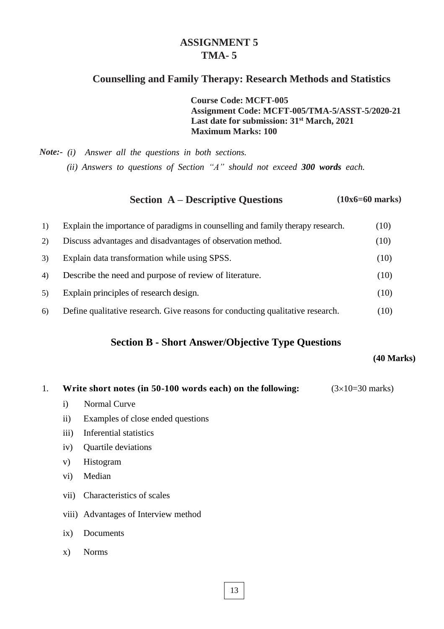## **ASSIGNMENT 5 TMA- 5**

## **Counselling and Family Therapy: Research Methods and Statistics**

**Course Code: MCFT-005 Assignment Code: MCFT-005/TMA-5/ASST-5/2020-21 Last date for submission: 31st March, 2021 Maximum Marks: 100**

*Note:- (i) Answer all the questions in both sections. (ii) Answers to questions of Section "A" should not exceed 300 words each.*

#### **Section A – Descriptive Questions (10x6=60 marks)**

| 1)             | Explain the importance of paradigms in counselling and family therapy research. | (10) |
|----------------|---------------------------------------------------------------------------------|------|
| 2)             | Discuss advantages and disadvantages of observation method.                     | (10) |
| 3)             | Explain data transformation while using SPSS.                                   | (10) |
| $\overline{4}$ | Describe the need and purpose of review of literature.                          | (10) |
| 5)             | Explain principles of research design.                                          | (10) |
| 6)             | Define qualitative research. Give reasons for conducting qualitative research.  | (10) |

## **Section B - Short Answer/Objective Type Questions**

**(40 Marks)**

|  | Write short notes (in 50-100 words each) on the following: | $(3\times10=30 \text{ marks})$ |
|--|------------------------------------------------------------|--------------------------------|
|--|------------------------------------------------------------|--------------------------------|

- i) Normal Curve
- ii) Examples of close ended questions
- iii) Inferential statistics
- iv) Quartile deviations
- v) Histogram
- vi) Median
- vii) Characteristics of scales
- viii) Advantages of Interview method
- ix) Documents
- x) Norms